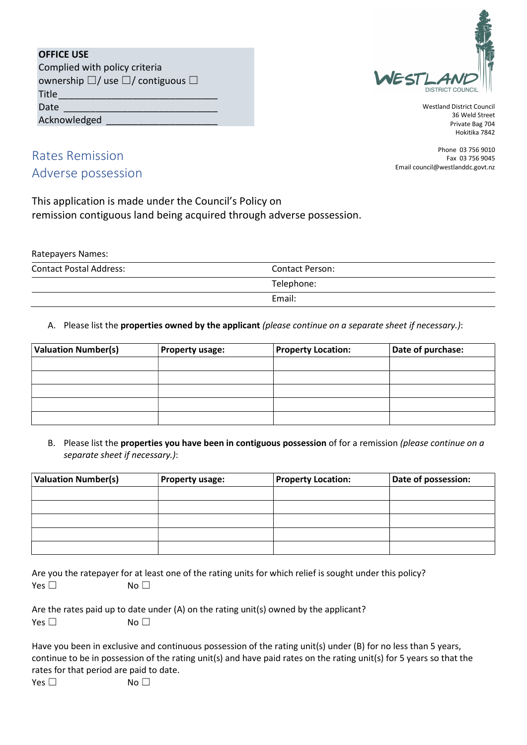| <b>OFFICE USE</b>                               |
|-------------------------------------------------|
| Complied with policy criteria                   |
| ownership $\Box/$ use $\Box/$ contiguous $\Box$ |
| Title                                           |



Westland District Council 36 Weld Street Private Bag 704 Hokitika 7842

> Phone 03 756 9010 Fax 03 756 9045

Email council@westlanddc.govt.nz

Rates Remission Adverse possession

Date

Acknowledged

This application is made under the Council's Policy on remission contiguous land being acquired through adverse possession.

Ratepayers Names: Contact Postal Address: Contact Person: Telephone: Email:

#### A. Please list the properties owned by the applicant (please continue on a separate sheet if necessary.):

| <b>Valuation Number(s)</b> | <b>Property usage:</b> | <b>Property Location:</b> | Date of purchase: |
|----------------------------|------------------------|---------------------------|-------------------|
|                            |                        |                           |                   |
|                            |                        |                           |                   |
|                            |                        |                           |                   |
|                            |                        |                           |                   |
|                            |                        |                           |                   |

B. Please list the properties you have been in contiguous possession of for a remission (please continue on a separate sheet if necessary.):

| <b>Valuation Number(s)</b> | <b>Property usage:</b> | <b>Property Location:</b> | Date of possession: |
|----------------------------|------------------------|---------------------------|---------------------|
|                            |                        |                           |                     |
|                            |                        |                           |                     |
|                            |                        |                           |                     |
|                            |                        |                           |                     |
|                            |                        |                           |                     |

Are you the ratepayer for at least one of the rating units for which relief is sought under this policy?  $Yes \Box$  No  $\Box$ 

|               | Are the rates paid up to date under $(A)$ on the rating unit(s) owned by the applicant? |
|---------------|-----------------------------------------------------------------------------------------|
| Yes $\square$ | No $\Box$                                                                               |

|                                         | Have you been in exclusive and continuous possession of the rating unit(s) under (B) for no less than 5 years,       |
|-----------------------------------------|----------------------------------------------------------------------------------------------------------------------|
|                                         | continue to be in possession of the rating unit(s) and have paid rates on the rating unit(s) for 5 years so that the |
| rates for that period are paid to date. |                                                                                                                      |
| Yes $\Box$                              | No $\Box$                                                                                                            |